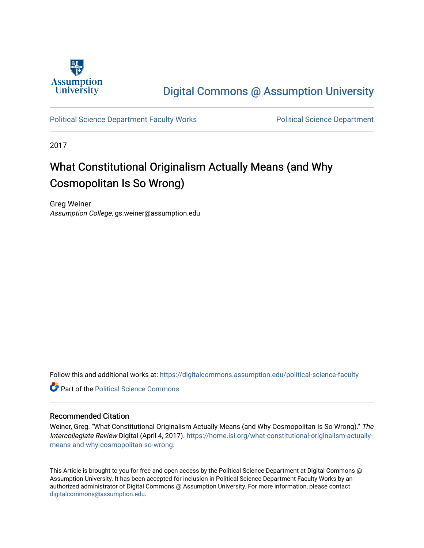

## [Digital Commons @ Assumption University](https://digitalcommons.assumption.edu/)

[Political Science Department Faculty Works](https://digitalcommons.assumption.edu/political-science-faculty) [Political Science Department](https://digitalcommons.assumption.edu/political-science) 

2017

# What Constitutional Originalism Actually Means (and Why Cosmopolitan Is So Wrong)

Greg Weiner Assumption College, gs.weiner@assumption.edu

Follow this and additional works at: [https://digitalcommons.assumption.edu/political-science-faculty](https://digitalcommons.assumption.edu/political-science-faculty?utm_source=digitalcommons.assumption.edu%2Fpolitical-science-faculty%2F75&utm_medium=PDF&utm_campaign=PDFCoverPages)

**C** Part of the Political Science Commons

## Recommended Citation

Weiner, Greg. "What Constitutional Originalism Actually Means (and Why Cosmopolitan Is So Wrong)." The Intercollegiate Review Digital (April 4, 2017). [https://home.isi.org/what-constitutional-originalism-actually](https://home.isi.org/what-constitutional-originalism-actually-means-and-why-cosmopolitan-so-wrong)[means-and-why-cosmopolitan-so-wrong.](https://home.isi.org/what-constitutional-originalism-actually-means-and-why-cosmopolitan-so-wrong)

This Article is brought to you for free and open access by the Political Science Department at Digital Commons @ Assumption University. It has been accepted for inclusion in Political Science Department Faculty Works by an authorized administrator of Digital Commons @ Assumption University. For more information, please contact [digitalcommons@assumption.edu](mailto:digitalcommons@assumption.edu).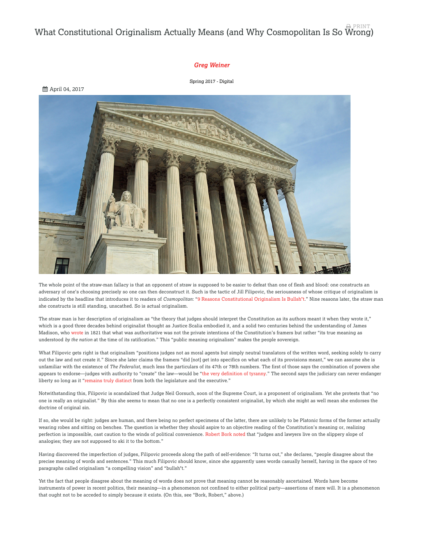#### What Constitutional Originalism Actually Means (and Why Cosmopolitan Is So Wrong) PRINT

### *[Greg Weiner](https://home.isi.org/intercollegiate-review/author/905598)*

[Spring 2017 - Digital](https://home.isi.org/journal-issue/spring-2017-digital)



The whole point of the straw-man fallacy is that an opponent of straw is supposed to be easier to defeat than one of flesh and blood: one constructs an adversary of one's choosing precisely so one can then deconstruct it. Such is the tactic of Jill Filipovic, the seriousness of whose critique of originalism is indicated by the headline that introduces it to readers of *Cosmopolitan*: "[9 Reasons Constitutional Originalism Is Bullsh\\*t](http://www.cosmopolitan.com/politics/a9162680/neil-gorsuch-constitutional-originalism-supreme-court/?src=socialflowTW)." Nine reasons later, the straw man she constructs is still standing, unscathed. So is actual originalism.

The straw man is her description of originalism as "the theory that judges should interpret the Constitution as its authors meant it when they wrote it," which is a good three decades behind originalist thought as Justice Scalia embodied it, and a solid two centuries behind the understanding of James Madison, who wrote in 1821 that what was authoritative was not the private intentions of the Constitution's framers but rather "its true meaning as understood *by the nation* at the time of its ratification." This "public meaning originalism" makes the people sovereign.

What Filipovic gets right is that originalism "positions judges not as moral agents but simply neutral translators of the written word, seeking solely to carry out the law and not create it." Since she later claims the framers "did [not] get into specifics on what each of its provisions meant," we can assume she is unfamiliar with the existence of *The Federalist,* much less the particulars of its 47th or 78th numbers. The first of those says the combination of powers she appears to endorse—judges with authority to "create" the law—would be "[the very definition of tyranny](http://oll.libertyfund.org/titles/788#Hamilton_0084_865)." The second says the judiciary can never endanger liberty so long as it ["](http://oll.libertyfund.org/titles/788#Hamilton_0084_1264)remains truly distinct from both the legislature and the executive."

Notwithstanding this, Filipovic is scandalized that Judge Neil Gorsuch, soon of the Supreme Court, is a proponent of originalism. Yet she protests that "no one is really an originalist." By this she seems to mean that no one is a perfectly consistent originalist, by which she might as well mean she endorses the doctrine of original sin.

If so, she would be right: judges are human, and there being no perfect specimens of the latter, there are unlikely to be Platonic forms of the former actually wearing robes and sitting on benches. The question is whether they should aspire to an objective reading of the Constitution's meaning or, realizing perfection is impossible, cast caution to the winds of political convenience. Robert Bork noted that "judges and lawyers live on the slippery slope of analogies; they are not supposed to ski it to the bottom."

Having discovered the imperfection of judges, Filipovic proceeds along the path of self-evidence: "It turns out," she declares, "people disagree about the precise meaning of words and sentences." This much Filipovic should know, since she apparently uses words casually herself, having in the space of two paragraphs called originalism "a compelling vision" and "bullsh\*t."

Yet the fact that people disagree about the meaning of words does not prove that meaning cannot be reasonably ascertained. Words have become instruments of power in recent politics, their meaning—in a phenomenon not confined to either political party—assertions of mere will. It is a phenomenon that ought not to be acceded to simply because it exists. (On this, see "Bork, Robert," above.)

**曲 April 04, 2017**